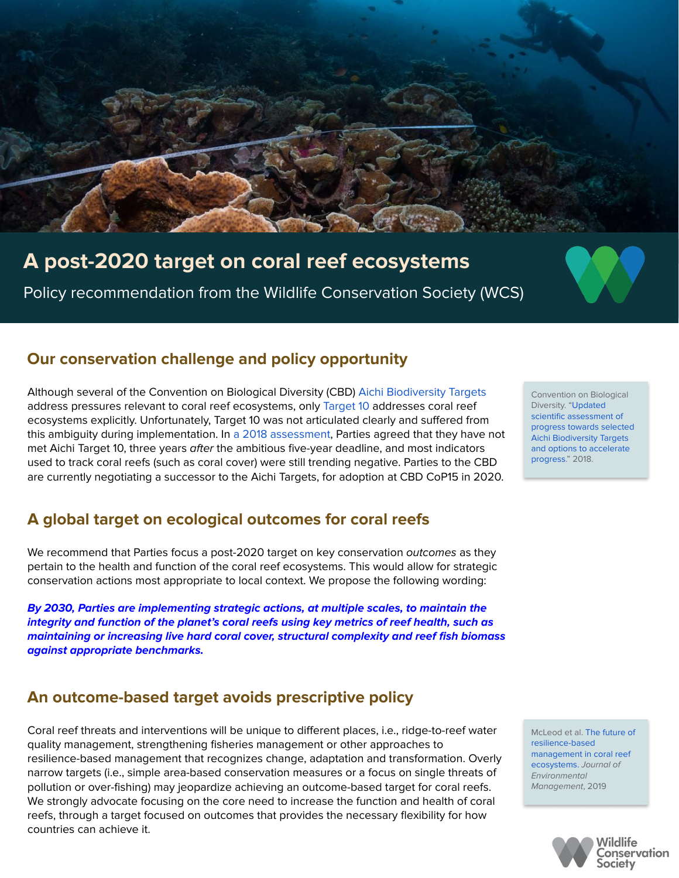

# **A post-2020 target on coral reef ecosystems**

Policy recommendation from the Wildlife Conservation Society (WCS)

## **Our conservation challenge and policy opportunity**

Although several of the Convention on Biological Diversity (CBD) [Aichi Biodiversity Targets](https://www.cbd.int/decision/cop/?id=12268) address pressures relevant to coral reef ecosystems, only [Target 10](https://www.cbd.int/doc/strategic-plan/targets/T10-quick-guide-en.pdf) addresses coral reef ecosystems explicitly. Unfortunately, Target 10 was not articulated clearly and suffered from this ambiguity during implementation. In [a 2018 assessment](https://www.cbd.int/doc/c/6db8/2029/d3de020ab5b7b039e9d665dd/sbstta-22-inf-10-en.pdf), Parties agreed that they have not met Aichi Target 10, three years after the ambitious five-year deadline, and most indicators used to track coral reefs (such as coral cover) were still trending negative. Parties to the CBD are currently negotiating a successor to the Aichi Targets, for adoption at CBD CoP15 in 2020.

## **A global target on ecological outcomes for coral reefs**

We recommend that Parties focus a post-2020 target on key conservation *outcomes* as they pertain to the health and function of the coral reef ecosystems. This would allow for strategic conservation actions most appropriate to local context. We propose the following wording:

**By 2030, Parties are implementing strategic actions, at multiple scales, to maintain the integrity and function of the planet's coral reefs using key metrics of reef health, such as maintaining or increasing live hard coral cover, structural complexity and reef fish biomass against appropriate benchmarks.**

### **An outcome-based target avoids prescriptive policy**

Coral reef threats and interventions will be unique to different places, i.e., ridge-to-reef water quality management, strengthening fisheries management or other approaches to resilience-based management that recognizes change, adaptation and transformation. Overly narrow targets (i.e., simple area-based conservation measures or a focus on single threats of pollution or over-fishing) may jeopardize achieving an outcome-based target for coral reefs. We strongly advocate focusing on the core need to increase the function and health of coral reefs, through a target focused on outcomes that provides the necessary flexibility for how countries can achieve it.

Convention on Biological Diversity. ["Updated](https://www.cbd.int/doc/c/6db8/2029/d3de020ab5b7b039e9d665dd/sbstta-22-inf-10-en.pdf)  [scientific assessment of](https://www.cbd.int/doc/c/6db8/2029/d3de020ab5b7b039e9d665dd/sbstta-22-inf-10-en.pdf)  [progress towards selected](https://www.cbd.int/doc/c/6db8/2029/d3de020ab5b7b039e9d665dd/sbstta-22-inf-10-en.pdf)  [Aichi Biodiversity Targets](https://www.cbd.int/doc/c/6db8/2029/d3de020ab5b7b039e9d665dd/sbstta-22-inf-10-en.pdf)  [and options to accelerate](https://www.cbd.int/doc/c/6db8/2029/d3de020ab5b7b039e9d665dd/sbstta-22-inf-10-en.pdf)  [progress](https://www.cbd.int/doc/c/6db8/2029/d3de020ab5b7b039e9d665dd/sbstta-22-inf-10-en.pdf)." 2018.

McLeod et al. [The future of](https://www.sciencedirect.com/science/article/pii/S0301479718312994?via%3Dihub)  [resilience-based](https://www.sciencedirect.com/science/article/pii/S0301479718312994?via%3Dihub)  [management in coral reef](https://www.sciencedirect.com/science/article/pii/S0301479718312994?via%3Dihub)  [ecosystems.](https://www.sciencedirect.com/science/article/pii/S0301479718312994?via%3Dihub) Journal of Environmental Management, 2019